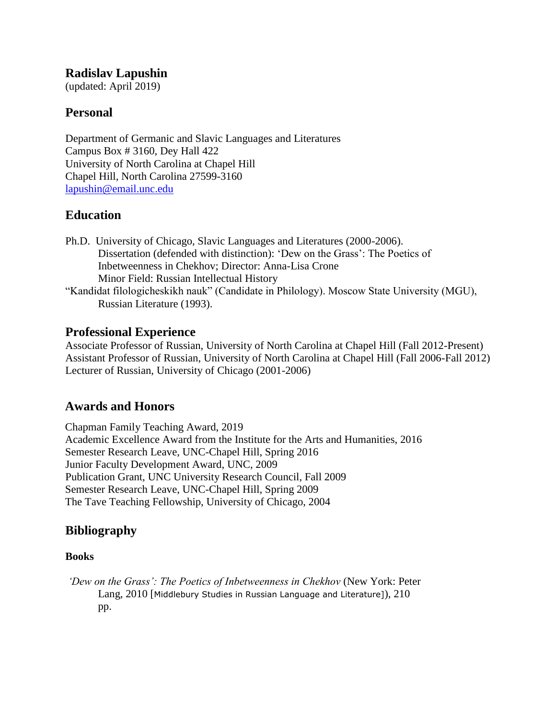## **Radislav Lapushin**

(updated: April 2019)

# **Personal**

Department of Germanic and Slavic Languages and Literatures Campus Box # 3160, Dey Hall 422 University of North Carolina at Chapel Hill Chapel Hill, North Carolina 27599-3160 [lapushin@email.unc.edu](mailto:lapushin@email.unc.edu)

# **Education**

Ph.D. University of Chicago, Slavic Languages and Literatures (2000-2006). Dissertation (defended with distinction): 'Dew on the Grass': The Poetics of Inbetweenness in Chekhov; Director: Anna-Lisa Crone Minor Field: Russian Intellectual History "Kandidat filologicheskikh nauk" (Candidate in Philology). Moscow State University (MGU),

# Russian Literature (1993).

## **Professional Experience**

Associate Professor of Russian, University of North Carolina at Chapel Hill (Fall 2012-Present) Assistant Professor of Russian, University of North Carolina at Chapel Hill (Fall 2006-Fall 2012) Lecturer of Russian, University of Chicago (2001-2006)

# **Awards and Honors**

Chapman Family Teaching Award, 2019 Academic Excellence Award from the Institute for the Arts and Humanities, 2016 Semester Research Leave, UNC-Chapel Hill, Spring 2016 Junior Faculty Development Award, UNC, 2009 Publication Grant, UNC University Research Council, Fall 2009 Semester Research Leave, UNC-Chapel Hill, Spring 2009 The Tave Teaching Fellowship, University of Chicago, 2004

# **Bibliography**

### **Books**

*'Dew on the Grass': The Poetics of Inbetweenness in Chekhov* (New York: Peter Lang, 2010 [Middlebury Studies in Russian Language and Literature]), 210 pp.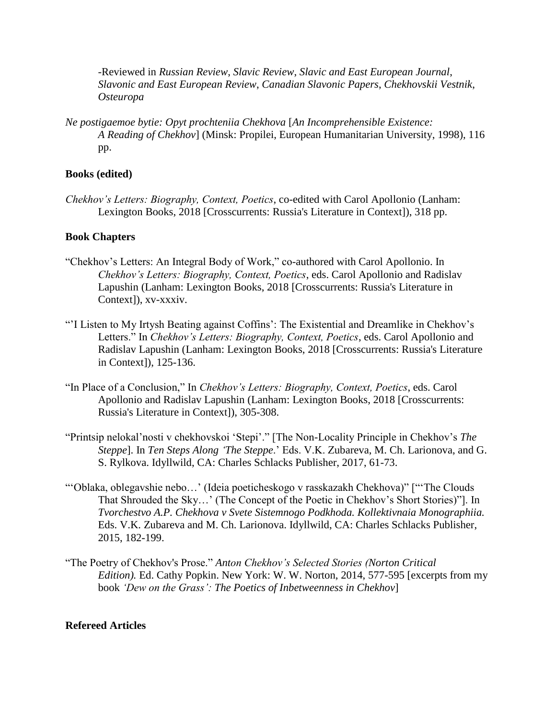-Reviewed in *Russian Review*, *Slavic Review*, *Slavic and East European Journal*, *Slavonic and East European Review*, *Canadian Slavonic Papers*, *Chekhovskii Vestnik*, *Osteuropa* 

*Ne postigaemoe bytie: Opyt prochteniia Chekhova* [*An Incomprehensible Existence: A Reading of Chekhov*] (Minsk: Propilei, European Humanitarian University, 1998), 116 pp.

#### **Books (edited)**

*Chekhov's Letters: Biography, Context, Poetics*, co-edited with Carol Apollonio (Lanham: Lexington Books, 2018 [Crosscurrents: Russia's Literature in Context]), 318 pp.

#### **Book Chapters**

- "Chekhov's Letters: An Integral Body of Work," co-authored with Carol Apollonio. In *Chekhov's Letters: Biography, Context, Poetics*, eds. Carol Apollonio and Radislav Lapushin (Lanham: Lexington Books, 2018 [Crosscurrents: Russia's Literature in Context]), xv-xxxiv.
- "'I Listen to My Irtysh Beating against Coffins': The Existential and Dreamlike in Chekhov's Letters." In *Chekhov's Letters: Biography, Context, Poetics*, eds. Carol Apollonio and Radislav Lapushin (Lanham: Lexington Books, 2018 [Crosscurrents: Russia's Literature in Context]), 125-136.
- "In Place of a Conclusion," In *Chekhov's Letters: Biography, Context, Poetics*, eds. Carol Apollonio and Radislav Lapushin (Lanham: Lexington Books, 2018 [Crosscurrents: Russia's Literature in Context]), 305-308.
- "Printsip nelokal'nosti v chekhovskoi 'Stepi'." [The Non-Locality Principle in Chekhov's *The Steppe*]. In *Ten Steps Along 'The Steppe*.' Eds. V.K. Zubareva, M. Ch. Larionova, and G. S. Rylkova. Idyllwild, CA: Charles Schlacks Publisher, 2017, 61-73.
- "'Oblaka, oblegavshie nebo…' (Ideia poeticheskogo v rasskazakh Chekhova)" ["'The Clouds That Shrouded the Sky…' (The Concept of the Poetic in Chekhov's Short Stories)"]. In *Tvorchestvo A.P. Chekhova v Svete Sistemnogo Podkhoda. Kollektivnaia Monographiia.*  Eds. V.K. Zubareva and M. Ch. Larionova. Idyllwild, CA: Charles Schlacks Publisher, 2015, 182-199.
- "The Poetry of Chekhov's Prose." *Anton Chekhov's Selected Stories (Norton Critical Edition).* Ed. Cathy Popkin. New York: W. W. Norton, 2014, 577-595 [excerpts from my book *'Dew on the Grass': The Poetics of Inbetweenness in Chekhov*]

#### **Refereed Articles**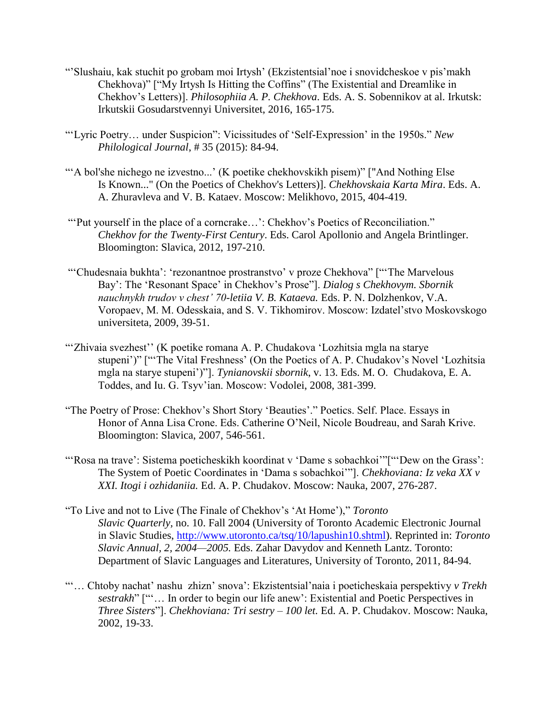- "'Slushaiu, kak stuchit po grobam moi Irtysh' (Ekzistentsial'noe i snovidcheskoe v pis'makh Chekhova)" ["My Irtysh Is Hitting the Coffins" (The Existential and Dreamlike in Chekhov's Letters)]. *Philosophiia A. P. Chekhova*. Eds. A. S. Sobennikov at al. Irkutsk: Irkutskii Gosudarstvennyi Universitet, 2016, 165-175.
- "'Lyric Poetry… under Suspicion": Vicissitudes of 'Self-Expression' in the 1950s." *New Philological Journal*, # 35 (2015): 84-94.
- "'A bol'she nichego ne izvestno...' (K poetike chekhovskikh pisem)" ["And Nothing Else Is Known..." (On the Poetics of Chekhov's Letters)]. *Chekhovskaia Karta Mira*. Eds. A. A. Zhuravleva and V. B. Kataev. Moscow: Melikhovo, 2015, 404-419.
- "'Put yourself in the place of a corncrake…': Chekhov's Poetics of Reconciliation." *Chekhov for the Twenty-First Century*. Eds. Carol Apollonio and Angela Brintlinger. Bloomington: Slavica, 2012, 197-210.
- "'Chudesnaia bukhta': 'rezonantnoe prostranstvo' v proze Chekhova" ["'The Marvelous Bay': The 'Resonant Space' in Chekhov's Prose"]. *Dialog s Chekhovym. Sbornik nauchnykh trudov v chest' 70-letiia V. B. Kataeva.* Eds. P. N. Dolzhenkov, V.A. Voropaev, M. M. Odesskaia, and S. V. Tikhomirov. Moscow: Izdatel'stvo Moskovskogo universiteta, 2009, 39-51.
- "'Zhivaia svezhest'' (K poetike romana A. P. Chudakova 'Lozhitsia mgla na starye stupeni')" ["'The Vital Freshness' (On the Poetics of A. P. Chudakov's Novel 'Lozhitsia mgla na starye stupeni')"]. *Tynianovskii sbornik*, v. 13. Eds. M. O. Chudakova, E. A. Toddes, and Iu. G. Tsyv'ian. Moscow: Vodolei, 2008, 381-399.
- "The Poetry of Prose: Chekhov's Short Story 'Beauties'." Poetics. Self. Place. Essays in Honor of Anna Lisa Crone. Eds. Catherine O'Neil, Nicole Boudreau, and Sarah Krive. Bloomington: Slavica, 2007, 546-561.
- "'Rosa na trave': Sistema poeticheskikh koordinat v 'Dame s sobachkoi'"["'Dew on the Grass': The System of Poetic Coordinates in 'Dama s sobachkoi'"]. *Chekhoviana: Iz veka XX v XXI. Itogi i ozhidaniia.* Ed. A. P. Chudakov. Moscow: Nauka, 2007, 276-287.
- "To Live and not to Live (The Finale of Chekhov's 'At Home')," *Toronto Slavic Quarterly,* no. 10. Fall 2004 (University of Toronto Academic Electronic Journal in Slavic Studies, [http://www.utoronto.ca/tsq/10/lapushin10.shtml\)](http://www.utoronto.ca/tsq/10/lapushin10.shtml). Reprinted in: *Toronto Slavic Annual, 2, 2004—2005.* Eds. Zahar Davydov and Kenneth Lantz. Toronto: Department of Slavic Languages and Literatures, University of Toronto, 2011, 84-94.
- "'… Chtoby nachat' nashu zhizn' snova': Ekzistentsial'naia i poeticheskaia perspektivy *v Trekh sestrakh*" ["'… In order to begin our life anew': Existential and Poetic Perspectives in *Three Sisters*"]. *Chekhoviana: Tri sestry – 100 let.* Ed. A. P. Chudakov. Moscow: Nauka, 2002, 19-33.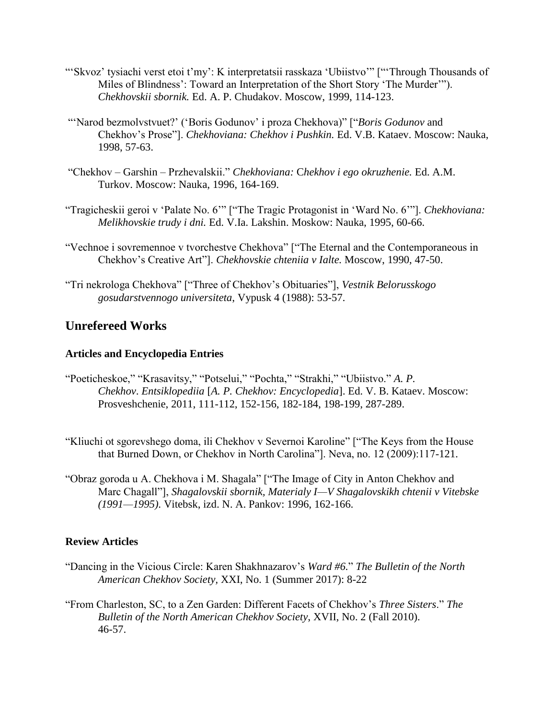- "'Skvoz' tysiachi verst etoi t'my': K interpretatsii rasskaza 'Ubiistvo'" ["'Through Thousands of Miles of Blindness': Toward an Interpretation of the Short Story 'The Murder'"). *Chekhovskii sbornik.* Ed. A. P. Chudakov. Moscow, 1999, 114-123.
- "'Narod bezmolvstvuet?' ('Boris Godunov' i proza Chekhova)" ["*Boris Godunov* and Chekhov's Prose"]. *Chekhoviana: Chekhov i Pushkin.* Ed. V.B. Kataev. Moscow: Nauka, 1998, 57-63.
- "Chekhov Garshin Przhevalskii." *Chekhoviana:* C*hekhov i ego okruzhenie.* Ed. A.M. Turkov. Moscow: Nauka, 1996, 164-169.
- "Tragicheskii geroi v 'Palate No. 6'" ["The Tragic Protagonist in 'Ward No. 6'"]. *Chekhoviana: Melikhovskie trudy i dni.* Ed. V.Ia. Lakshin. Moskow: Nauka, 1995, 60-66.
- "Vechnoe i sovremennoe v tvorchestve Chekhova" ["The Eternal and the Contemporaneous in Chekhov's Creative Art"]. *Chekhovskie chteniia v Ialte.* Moscow, 1990, 47-50.
- "Tri nekrologa Chekhova" ["Three of Chekhov's Obituaries"], *Vestnik Belorusskogo gosudarstvennogo universiteta*, Vypusk 4 (1988): 53-57.

# **Unrefereed Works**

### **Articles and Encyclopedia Entries**

- "Poeticheskoe," "Krasavitsy," "Potselui," "Pochta," "Strakhi," "Ubiistvo." *A. P. Chekhov*. *Entsiklopediia* [*A. P. Chekhov: Encyclopedia*]. Ed. V. B. Kataev. Moscow: Prosveshchenie, 2011, 111-112, 152-156, 182-184, 198-199, 287-289.
- "Kliuchi ot sgorevshego doma, ili Chekhov v Severnoi Karoline" ["The Keys from the House that Burned Down, or Chekhov in North Carolina"]. Neva, no. 12 (2009):117-121.
- "Obraz goroda u A. Chekhova i M. Shagala" ["The Image of City in Anton Chekhov and Marc Chagall"], *Shagalovskii sbornik, Materialy I—V Shagalovskikh chtenii v Vitebske (1991—1995).* Vitebsk, izd. N. A. Pankov: 1996, 162-166.

### **Review Articles**

- "Dancing in the Vicious Circle: Karen Shakhnazarov's *Ward #6.*" *The Bulletin of the North American Chekhov Society,* XXI, No. 1 (Summer 2017): 8-22
- "From Charleston, SC, to a Zen Garden: Different Facets of Chekhov's *Three Sisters*." *The Bulletin of the North American Chekhov Society*, XVII, No. 2 (Fall 2010). 46-57.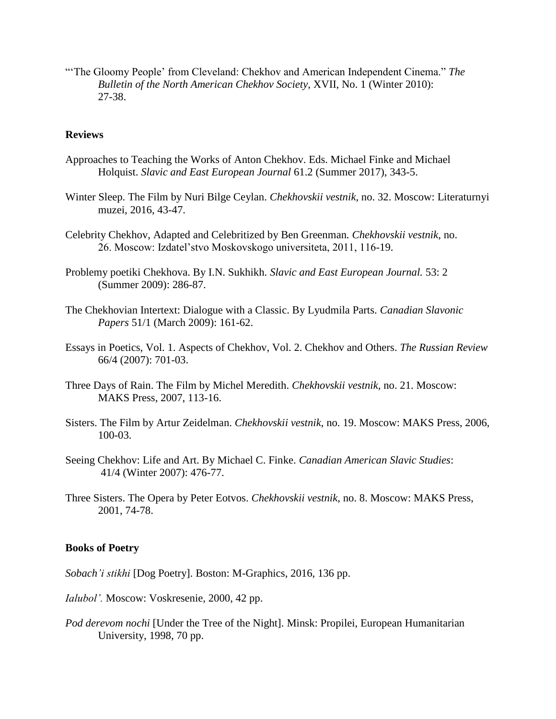"'The Gloomy People' from Cleveland: Chekhov and American Independent Cinema." *The Bulletin of the North American Chekhov Society*, XVII, No. 1 (Winter 2010): 27-38.

#### **Reviews**

- Approaches to Teaching the Works of Anton Chekhov. Eds. Michael Finke and Michael Holquist. *Slavic and East European Journal* 61.2 (Summer 2017), 343-5.
- Winter Sleep. The Film by Nuri Bilge Ceylan. *Chekhovskii vestnik,* no. 32. Moscow: Literaturnyi muzei, 2016, 43-47.
- Celebrity Chekhov, Adapted and Celebritized by Ben Greenman*. Chekhovskii vestnik,* no. 26. Moscow: Izdatel'stvo Moskovskogo universiteta, 2011, 116-19.
- Problemy poetiki Chekhova. By I.N. Sukhikh. *Slavic and East European Journal.* 53: 2 (Summer 2009): 286-87.
- The Chekhovian Intertext: Dialogue with a Classic. By Lyudmila Parts. *Canadian Slavonic Papers* 51/1 (March 2009): 161-62.
- Essays in Poetics, Vol. 1. Aspects of Chekhov, Vol. 2. Chekhov and Others. *The Russian Review* 66/4 (2007): 701-03.
- Three Days of Rain. The Film by Michel Meredith. *Chekhovskii vestnik,* no. 21. Moscow: MAKS Press, 2007, 113-16.
- Sisters. The Film by Artur Zeidelman. *Chekhovskii vestnik*, no. 19. Moscow: MAKS Press, 2006, 100-03.
- Seeing Chekhov: Life and Art. By Michael C. Finke. *Canadian American Slavic Studies*: 41/4 (Winter 2007): 476-77.
- Three Sisters. The Opera by Peter Eotvos. *Chekhovskii vestnik*, no. 8. Moscow: MAKS Press, 2001, 74-78.

#### **Books of Poetry**

*Sobach'i stikhi* [Dog Poetry]. Boston: M-Graphics, 2016, 136 pp.

*Ialubol'.* Moscow: Voskresenie, 2000, 42 pp.

*Pod derevom nochi* [Under the Tree of the Night]. Minsk: Propilei, European Humanitarian University, 1998, 70 pp.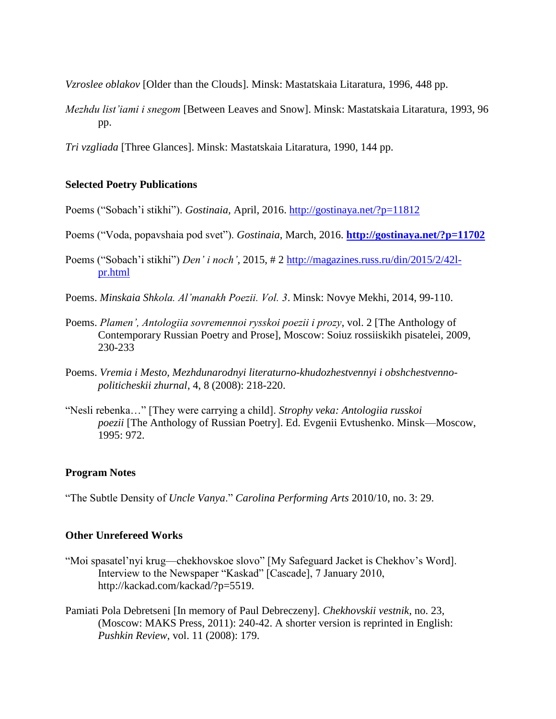*Vzroslee oblakov* [Older than the Clouds]. Minsk: Mastatskaia Litaratura, 1996, 448 pp.

- *Mezhdu list'iami i snegom* [Between Leaves and Snow]. Minsk: Mastatskaia Litaratura, 1993, 96 pp.
- *Tri vzgliada* [Three Glances]. Minsk: Mastatskaia Litaratura, 1990, 144 pp.

#### **Selected Poetry Publications**

Poems ("Sobach'i stikhi"). *Gostinaia,* April, 2016.<http://gostinaya.net/?p=11812>

- Poems ("Voda, popavshaia pod svet"). *Gostinaia*, March, 2016. **<http://gostinaya.net/?p=11702>**
- Poems ("Sobach'i stikhi") *Den' i noch'*, 2015, # 2 [http://magazines.russ.ru/din/2015/2/42l](http://magazines.russ.ru/din/2015/2/42l-pr.html)[pr.html](http://magazines.russ.ru/din/2015/2/42l-pr.html)
- Poems. *Minskaia Shkola. Al'manakh Poezii. Vol. 3*. Minsk: Novye Mekhi, 2014, 99-110.
- Poems. *Plamen', Antologiia sovremennoi rysskoi poezii i prozy*, vol. 2 [The Anthology of Contemporary Russian Poetry and Prose], Moscow: Soiuz rossiiskikh pisatelei, 2009, 230-233
- Poems. *Vremia i Mesto, Mezhdunarodnyi literaturno-khudozhestvennyi i obshchestvennopoliticheskii zhurnal*, 4, 8 (2008): 218-220.
- "Nesli rebenka…" [They were carrying a child]. *Strophy veka: Antologiia russkoi poezii* [The Anthology of Russian Poetry]. Ed. Evgenii Evtushenko. Minsk—Moscow, 1995: 972.

#### **Program Notes**

"The Subtle Density of *Uncle Vanya*." *Carolina Performing Arts* 2010/10, no. 3: 29.

#### **Other Unrefereed Works**

- "Moi spasatel'nyi krug—chekhovskoe slovo" [My Safeguard Jacket is Chekhov's Word]. Interview to the Newspaper "Kaskad" [Cascade], 7 January 2010, http://kackad.com/kackad/?p=5519.
- Pamiati Pola Debretseni [In memory of Paul Debreczeny]. *Chekhovskii vestnik*, no. 23, (Moscow: MAKS Press, 2011): 240-42. A shorter version is reprinted in English: *Pushkin Review*, vol. 11 (2008): 179.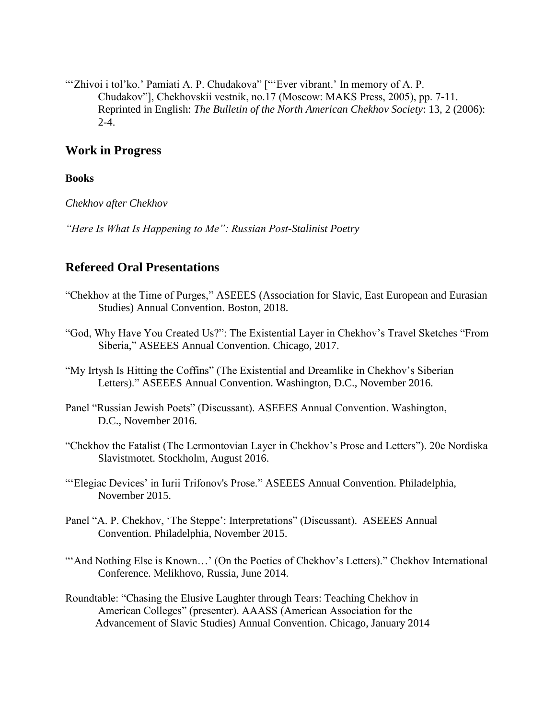"'Zhivoi i tol'ko.' Pamiati A. P. Chudakova" ["'Ever vibrant.' In memory of A. P. Chudakov"], Chekhovskii vestnik, no.17 (Moscow: MAKS Press, 2005), pp. 7-11. Reprinted in English: *The Bulletin of the North American Chekhov Society*: 13, 2 (2006):  $2 - 4$ .

## **Work in Progress**

#### **Books**

*Chekhov after Chekhov*

*"Here Is What Is Happening to Me": Russian Post-Stalinist Poetry*

## **Refereed Oral Presentations**

- "Chekhov at the Time of Purges," ASEEES (Association for Slavic, East European and Eurasian Studies) Annual Convention. Boston, 2018.
- "God, Why Have You Created Us?": The Existential Layer in Chekhov's Travel Sketches "From Siberia," ASEEES Annual Convention. Chicago, 2017.

"My Irtysh Is Hitting the Coffins" (The Existential and Dreamlike in Chekhov's Siberian Letters)." ASEEES Annual Convention. Washington, D.C., November 2016.

- Panel "Russian Jewish Poets" (Discussant). ASEEES Annual Convention. Washington, D.C., November 2016.
- "Chekhov the Fatalist (The Lermontovian Layer in Chekhov's Prose and Letters"). 20e Nordiska Slavistmotet. Stockholm, August 2016.

"'Elegiac Devices' in Iurii Trifonov's Prose." ASEEES Annual Convention. Philadelphia, November 2015.

- Panel "A. P. Chekhov, 'The Steppe': Interpretations" (Discussant). ASEEES Annual Convention. Philadelphia, November 2015.
- "'And Nothing Else is Known...' (On the Poetics of Chekhov's Letters)." Chekhov International Conference. Melikhovo, Russia, June 2014.
- Roundtable: "Chasing the Elusive Laughter through Tears: Teaching Chekhov in American Colleges" (presenter). AAASS (American Association for the Advancement of Slavic Studies) Annual Convention. Chicago, January 2014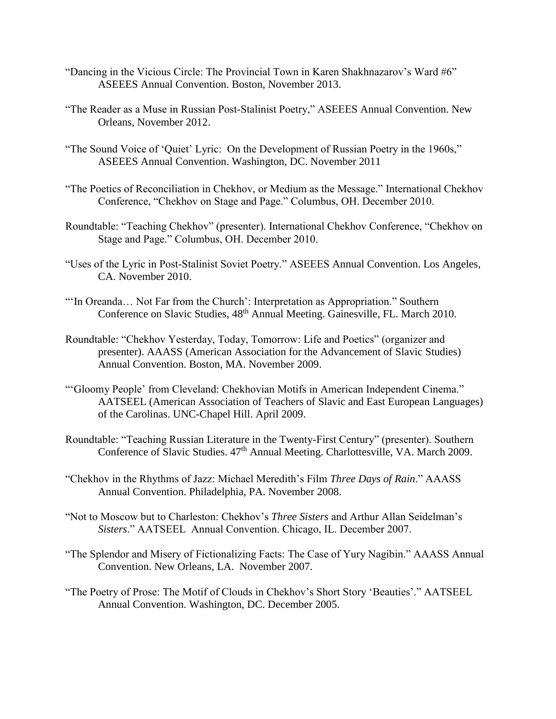- "Dancing in the Vicious Circle: The Provincial Town in Karen Shakhnazarov's Ward #6" ASEEES Annual Convention. Boston, November 2013.
- "The Reader as a Muse in Russian Post-Stalinist Poetry," ASEEES Annual Convention. New Orleans, November 2012.
- "The Sound Voice of 'Quiet' Lyric: On the Development of Russian Poetry in the 1960s," ASEEES Annual Convention. Washington, DC. November 2011
- "The Poetics of Reconciliation in Chekhov, or Medium as the Message." International Chekhov Conference, "Chekhov on Stage and Page." Columbus, OH. December 2010.
- Roundtable: "Teaching Chekhov" (presenter). International Chekhov Conference, "Chekhov on Stage and Page." Columbus, OH. December 2010.
- "Uses of the Lyric in Post-Stalinist Soviet Poetry." ASEEES Annual Convention. Los Angeles, CA. November 2010.
- "'In Oreanda... Not Far from the Church': Interpretation as Appropriation." Southern Conference on Slavic Studies, 48<sup>th</sup> Annual Meeting. Gainesville, FL. March 2010.
- Roundtable: "Chekhov Yesterday, Today, Tomorrow: Life and Poetics" (organizer and presenter). AAASS (American Association for the Advancement of Slavic Studies) Annual Convention. Boston, MA. November 2009.
- "'Gloomy People' from Cleveland: Chekhovian Motifs in American Independent Cinema." AATSEEL (American Association of Teachers of Slavic and East European Languages) of the Carolinas. UNC-Chapel Hill. April 2009.
- Roundtable: "Teaching Russian Literature in the Twenty-First Century" (presenter). Southern Conference of Slavic Studies.  $47<sup>th</sup>$  Annual Meeting. Charlottesville, VA. March 2009.
- "Chekhov in the Rhythms of Jazz: Michael Meredith's Film *Three Days of Rain*." AAASS Annual Convention. Philadelphia, PA. November 2008.
- "Not to Moscow but to Charleston: Chekhov's *Three Sisters* and Arthur Allan Seidelman's *Sisters*." AATSEEL Annual Convention. Chicago, IL. December 2007.
- "The Splendor and Misery of Fictionalizing Facts: The Case of Yury Nagibin." AAASS Annual Convention. New Orleans, LA. November 2007.
- "The Poetry of Prose: The Motif of Clouds in Chekhov's Short Story 'Beauties'." AATSEEL Annual Convention. Washington, DC. December 2005.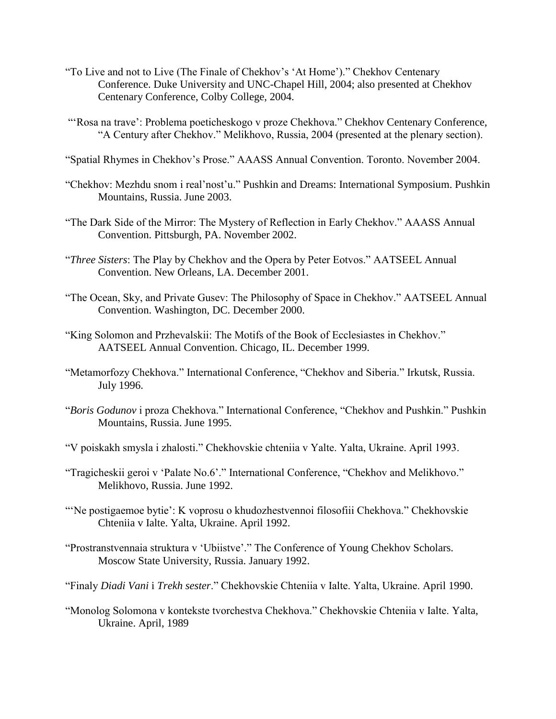- "To Live and not to Live (The Finale of Chekhov's 'At Home')." Chekhov Centenary Conference. Duke University and UNC-Chapel Hill, 2004; also presented at Chekhov Centenary Conference, Colby College, 2004.
- "'Rosa na trave': Problema poeticheskogo v proze Chekhova." Chekhov Centenary Conference, "A Century after Chekhov." Melikhovo, Russia, 2004 (presented at the plenary section).
- "Spatial Rhymes in Chekhov's Prose." AAASS Annual Convention. Toronto. November 2004.
- "Chekhov: Mezhdu snom i real'nost'u." Pushkin and Dreams: International Symposium. Pushkin Mountains, Russia. June 2003.
- "The Dark Side of the Mirror: The Mystery of Reflection in Early Chekhov." AAASS Annual Convention. Pittsburgh, PA. November 2002.
- "*Three Sisters*: The Play by Chekhov and the Opera by Peter Eotvos." AATSEEL Annual Convention. New Orleans, LA. December 2001.
- "The Ocean, Sky, and Private Gusev: The Philosophy of Space in Chekhov." AATSEEL Annual Convention. Washington, DC. December 2000.
- "King Solomon and Przhevalskii: The Motifs of the Book of Ecclesiastes in Chekhov." AATSEEL Annual Convention. Chicago, IL. December 1999.
- "Metamorfozy Chekhova." International Conference, "Chekhov and Siberia." Irkutsk, Russia. July 1996.
- "*Boris Godunov* i proza Chekhova." International Conference, "Chekhov and Pushkin." Pushkin Mountains, Russia. June 1995.
- "V poiskakh smysla i zhalosti." Chekhovskie chteniia v Yalte. Yalta, Ukraine. April 1993.
- "Tragicheskii geroi v 'Palate No.6'." International Conference, "Chekhov and Melikhovo." Melikhovo, Russia. June 1992.
- "Ne postigaemoe bytie': K voprosu o khudozhestvennoi filosofiii Chekhova." Chekhovskie Chteniia v Ialte. Yalta, Ukraine. April 1992.
- "Prostranstvennaia struktura v 'Ubiistve'." The Conference of Young Chekhov Scholars. Moscow State University, Russia. January 1992.
- "Finaly *Diadi Vani* i *Trekh sester*." Chekhovskie Chteniia v Ialte. Yalta, Ukraine. April 1990.
- "Monolog Solomona v kontekste tvorchestva Chekhova." Chekhovskie Chteniia v Ialte. Yalta, Ukraine. April, 1989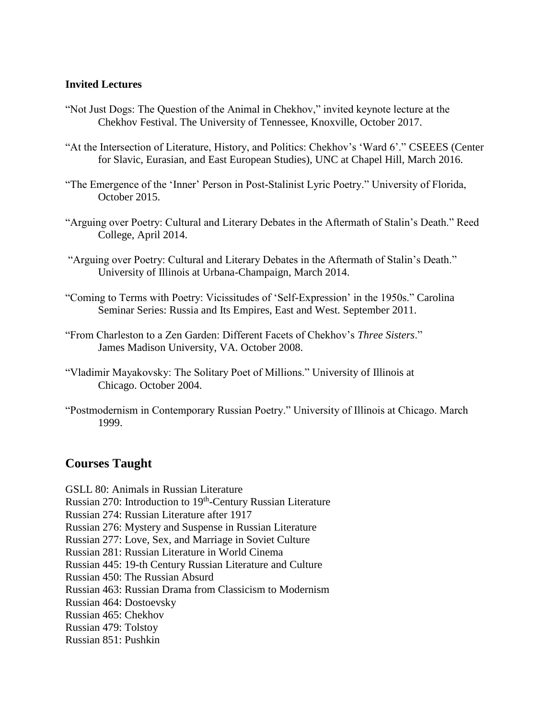#### **Invited Lectures**

- "Not Just Dogs: The Question of the Animal in Chekhov," invited keynote lecture at the Chekhov Festival. The University of Tennessee, Knoxville, October 2017.
- "At the Intersection of Literature, History, and Politics: Chekhov's 'Ward 6'." CSEEES (Center for Slavic, Eurasian, and East European Studies), UNC at Chapel Hill, March 2016.
- "The Emergence of the 'Inner' Person in Post-Stalinist Lyric Poetry." University of Florida, October 2015.
- "Arguing over Poetry: Cultural and Literary Debates in the Aftermath of Stalin's Death." Reed College, April 2014.
- "Arguing over Poetry: Cultural and Literary Debates in the Aftermath of Stalin's Death." University of Illinois at Urbana-Champaign, March 2014.
- "Coming to Terms with Poetry: Vicissitudes of 'Self-Expression' in the 1950s." Carolina Seminar Series: Russia and Its Empires, East and West. September 2011.
- "From Charleston to a Zen Garden: Different Facets of Chekhov's *Three Sisters*." James Madison University, VA. October 2008.
- "Vladimir Mayakovsky: The Solitary Poet of Millions." University of Illinois at Chicago. October 2004.
- "Postmodernism in Contemporary Russian Poetry." University of Illinois at Chicago. March 1999.

## **Courses Taught**

- GSLL 80: Animals in Russian Literature
- Russian 270: Introduction to 19<sup>th</sup>-Century Russian Literature
- Russian 274: Russian Literature after 1917
- Russian 276: Mystery and Suspense in Russian Literature
- Russian 277: Love, Sex, and Marriage in Soviet Culture
- Russian 281: Russian Literature in World Cinema
- Russian 445: 19-th Century Russian Literature and Culture
- Russian 450: The Russian Absurd
- Russian 463: Russian Drama from Classicism to Modernism
- Russian 464: Dostoevsky
- Russian 465: Chekhov
- Russian 479: Tolstoy
- Russian 851: Pushkin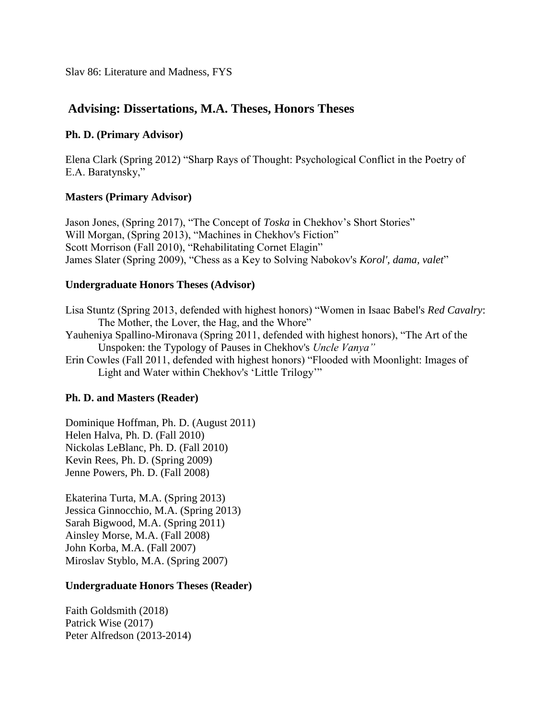Slav 86: Literature and Madness, FYS

# **Advising: Dissertations, M.A. Theses, Honors Theses**

### **Ph. D. (Primary Advisor)**

Elena Clark (Spring 2012) "Sharp Rays of Thought: Psychological Conflict in the Poetry of E.A. Baratynsky,"

### **Masters (Primary Advisor)**

Jason Jones, (Spring 2017), "The Concept of *Toska* in Chekhov's Short Stories" Will Morgan, (Spring 2013), "Machines in Chekhov's Fiction" Scott Morrison (Fall 2010), "Rehabilitating Cornet Elagin" James Slater (Spring 2009), "Chess as a Key to Solving Nabokov's *Korol', dama, valet*"

### **Undergraduate Honors Theses (Advisor)**

Lisa Stuntz (Spring 2013, defended with highest honors) "Women in Isaac Babel's *Red Cavalry*: The Mother, the Lover, the Hag, and the Whore" Yauheniya Spallino-Mironava (Spring 2011, defended with highest honors), "The Art of the Unspoken: the Typology of Pauses in Chekhov's *Uncle Vanya"* Erin Cowles (Fall 2011, defended with highest honors) "Flooded with Moonlight: Images of Light and Water within Chekhov's 'Little Trilogy'"

### **Ph. D. and Masters (Reader)**

Dominique Hoffman, Ph. D. (August 2011) Helen Halva, Ph. D. (Fall 2010) Nickolas LeBlanc, Ph. D. (Fall 2010) Kevin Rees, Ph. D. (Spring 2009) Jenne Powers, Ph. D. (Fall 2008)

Ekaterina Turta, M.A. (Spring 2013) Jessica Ginnocchio, M.A. (Spring 2013) Sarah Bigwood, M.A. (Spring 2011) Ainsley Morse, M.A. (Fall 2008) John Korba, M.A. (Fall 2007) Miroslav Styblo, M.A. (Spring 2007)

### **Undergraduate Honors Theses (Reader)**

Faith Goldsmith (2018) Patrick Wise (2017) Peter Alfredson (2013-2014)